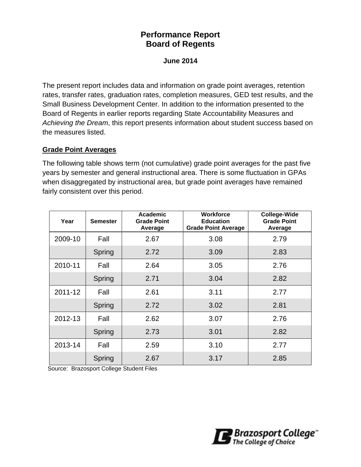# **Performance Report Board of Regents**

#### **June 2014**

The present report includes data and information on grade point averages, retention rates, transfer rates, graduation rates, completion measures, GED test results, and the Small Business Development Center. In addition to the information presented to the Board of Regents in earlier reports regarding State Accountability Measures and *Achieving the Dream*, this report presents information about student success based on the measures listed.

#### **Grade Point Averages**

The following table shows term (not cumulative) grade point averages for the past five years by semester and general instructional area. There is some fluctuation in GPAs when disaggregated by instructional area, but grade point averages have remained fairly consistent over this period.

| Year    | <b>Semester</b> | <b>Academic</b><br><b>Grade Point</b><br>Average | <b>Workforce</b><br><b>Education</b><br><b>Grade Point Average</b> |      |
|---------|-----------------|--------------------------------------------------|--------------------------------------------------------------------|------|
| 2009-10 | Fall            | 2.67                                             | 3.08                                                               | 2.79 |
|         | Spring          | 2.72                                             | 3.09                                                               | 2.83 |
| 2010-11 | Fall            | 2.64                                             | 3.05                                                               | 2.76 |
|         | Spring          | 2.71                                             | 3.04                                                               | 2.82 |
| 2011-12 | Fall            | 2.61                                             | 3.11                                                               | 2.77 |
|         | Spring          | 2.72                                             | 3.02                                                               | 2.81 |
| 2012-13 | Fall            | 2.62                                             | 3.07                                                               | 2.76 |
|         | Spring          | 2.73                                             | 3.01                                                               | 2.82 |
| 2013-14 | Fall            | 2.59                                             | 3.10                                                               | 2.77 |
|         | Spring          | 2.67                                             | 3.17                                                               | 2.85 |

Source: Brazosport College Student Files

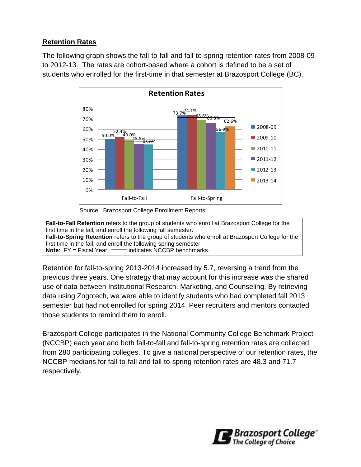## **Retention Rates**

The following graph shows the fall-to-fall and fall-to-spring retention rates from 2008-09 to 2012-13. The rates are cohort-based where a cohort is defined to be a set of students who enrolled for the first-time in that semester at Brazosport College (BC).



**Fall-to-Fall Retention** refers to the group of students who enroll at Brazosport College for the first time in the fall, and enroll the following fall semester. **Fall-to-Spring Retention** refers to the group of students who enroll at Brazosport College for the first time in the fall, and enroll the following spring semester. **Note:** FY = Fiscal Year, **indicates NCCBP** benchmarks.

Retention for fall-to-spring 2013-2014 increased by 5.7, reversing a trend from the previous three years. One strategy that may account for this increase was the shared use of data between Institutional Research, Marketing, and Counseling. By retrieving data using Zogotech, we were able to identify students who had completed fall 2013 semester but had not enrolled for spring 2014. Peer recruiters and mentors contacted those students to remind them to enroll.

Brazosport College participates in the National Community College Benchmark Project (NCCBP) each year and both fall-to-fall and fall-to-spring retention rates are collected from 280 participating colleges. To give a national perspective of our retention rates, the NCCBP medians for fall-to-fall and fall-to-spring retention rates are 48.3 and 71.7 respectively.

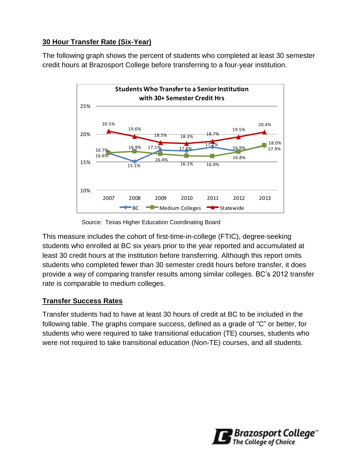## **30 Hour Transfer Rate (Six-Year)**

The following graph shows the percent of students who completed at least 30 semester credit hours at Brazosport College before transferring to a four-year institution.



Source: Texas Higher Education Coordinating Board

This measure includes the cohort of first-time-in-college (FTIC), degree-seeking students who enrolled at BC six years prior to the year reported and accumulated at least 30 credit hours at the institution before transferring. Although this report omits students who completed fewer than 30 semester credit hours before transfer, it does provide a way of comparing transfer results among similar colleges. BC's 2012 transfer rate is comparable to medium colleges.

## **Transfer Success Rates**

Transfer students had to have at least 30 hours of credit at BC to be included in the following table. The graphs compare success, defined as a grade of "C" or better, for students who were required to take transitional education (TE) courses, students who were not required to take transitional education (Non-TE) courses, and all students.

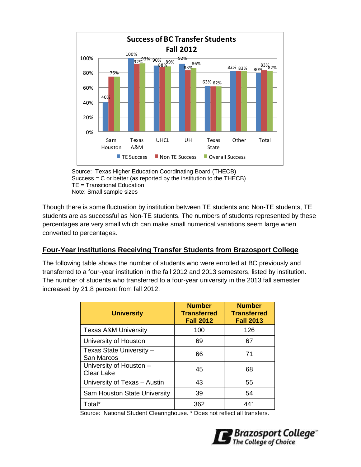

Source: Texas Higher Education Coordinating Board (THECB) Success = C or better (as reported by the institution to the THECB) TE = Transitional Education Note: Small sample sizes

Though there is some fluctuation by institution between TE students and Non-TE students, TE students are as successful as Non-TE students. The numbers of students represented by these percentages are very small which can make small numerical variations seem large when converted to percentages.

#### **Four-Year Institutions Receiving Transfer Students from Brazosport College**

The following table shows the number of students who were enrolled at BC previously and transferred to a four-year institution in the fall 2012 and 2013 semesters, listed by institution. The number of students who transferred to a four-year university in the 2013 fall semester increased by 21.8 percent from fall 2012.

| <b>University</b>                            | <b>Number</b><br><b>Transferred</b><br><b>Fall 2012</b> | <b>Number</b><br><b>Transferred</b><br><b>Fall 2013</b> |
|----------------------------------------------|---------------------------------------------------------|---------------------------------------------------------|
| <b>Texas A&amp;M University</b>              | 100                                                     | 126                                                     |
| University of Houston                        | 69                                                      | 67                                                      |
| Texas State University -<br>San Marcos       | 66                                                      | 71                                                      |
| University of Houston -<br><b>Clear Lake</b> | 45                                                      | 68                                                      |
| University of Texas - Austin                 | 43                                                      | 55                                                      |
| Sam Houston State University                 | 39                                                      | 54                                                      |
| Total*                                       | 362                                                     | 441                                                     |

Source: National Student Clearinghouse. \* Does not reflect all transfers.

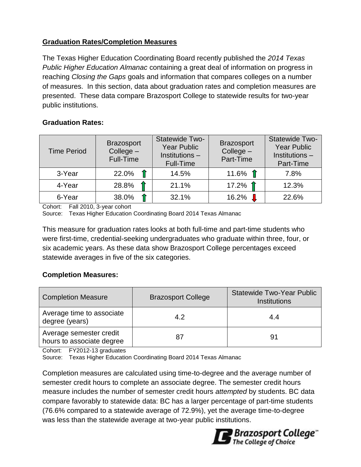## **Graduation Rates/Completion Measures**

The Texas Higher Education Coordinating Board recently published the *2014 Texas Public Higher Education Almanac* containing a great deal of information on progress in reaching *Closing the Gaps* goals and information that compares colleges on a number of measures. In this section, data about graduation rates and completion measures are presented. These data compare Brazosport College to statewide results for two-year public institutions.

## **Graduation Rates:**

| <b>Time Period</b> | <b>Brazosport</b><br>$Collect -$<br>Full-Time | Statewide Two-<br><b>Year Public</b><br>Institutions -<br>Full-Time | <b>Brazosport</b><br>College -<br>Part-Time | Statewide Two-<br><b>Year Public</b><br>Institutions-<br>Part-Time |
|--------------------|-----------------------------------------------|---------------------------------------------------------------------|---------------------------------------------|--------------------------------------------------------------------|
| 3-Year             | 22.0%                                         | 14.5%                                                               | 11.6% $\hat{\mathsf{T}}$                    | 7.8%                                                               |
| 4-Year             | 28.8%                                         | 21.1%                                                               | 17.2% $\hat{\textbf{1}}$                    | 12.3%                                                              |
| 6-Year             | 38.0%                                         | 32.1%                                                               | 16.2%                                       | 22.6%                                                              |

Cohort: Fall 2010, 3-year cohort

Source: Texas Higher Education Coordinating Board 2014 Texas Almanac

This measure for graduation rates looks at both full-time and part-time students who were first-time, credential-seeking undergraduates who graduate within three, four, or six academic years. As these data show Brazosport College percentages exceed statewide averages in five of the six categories.

#### **Completion Measures:**

| <b>Completion Measure</b>                            | <b>Brazosport College</b> | <b>Statewide Two-Year Public</b><br><b>Institutions</b> |
|------------------------------------------------------|---------------------------|---------------------------------------------------------|
| Average time to associate<br>degree (years)          | 4.2                       | 4.4                                                     |
| Average semester credit<br>hours to associate degree | 87                        | 91                                                      |

Cohort: FY2012-13 graduates

Source: Texas Higher Education Coordinating Board 2014 Texas Almanac

Completion measures are calculated using time-to-degree and the average number of semester credit hours to complete an associate degree. The semester credit hours measure includes the number of semester credit hours *attempted* by students. BC data compare favorably to statewide data: BC has a larger percentage of part-time students (76.6% compared to a statewide average of 72.9%), yet the average time-to-degree was less than the statewide average at two-year public institutions.